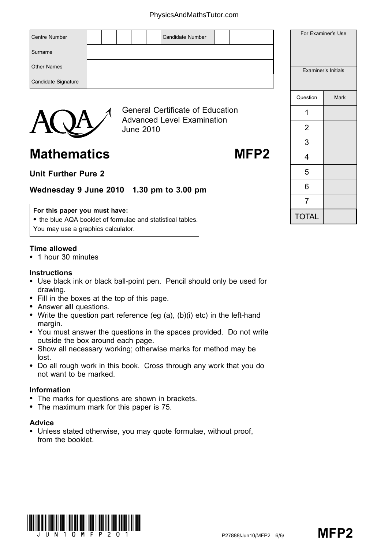### PhysicsAndMathsTutor.com

| <b>Centre Number</b>   |  |                                                                              |  | Candidate Number |                |  |   |                  |  |          | For Examiner's Use  |
|------------------------|--|------------------------------------------------------------------------------|--|------------------|----------------|--|---|------------------|--|----------|---------------------|
| Surname                |  |                                                                              |  |                  |                |  |   |                  |  |          |                     |
| <b>Other Names</b>     |  |                                                                              |  |                  |                |  |   |                  |  |          | Examiner's Initials |
| Candidate Signature    |  |                                                                              |  |                  |                |  |   |                  |  |          |                     |
|                        |  |                                                                              |  |                  |                |  |   |                  |  | Question | <b>Mark</b>         |
| $\boldsymbol{\lambda}$ |  | <b>General Certificate of Education</b><br><b>Advanced Level Examination</b> |  |                  |                |  | ◢ |                  |  |          |                     |
|                        |  | <b>June 2010</b>                                                             |  |                  | $\overline{2}$ |  |   |                  |  |          |                     |
|                        |  |                                                                              |  |                  |                |  |   |                  |  | 3        |                     |
| <b>Mathematics</b>     |  |                                                                              |  |                  |                |  |   | MFP <sub>2</sub> |  |          |                     |

# Unit Further Pure 2

# Wednesday 9 June 2010 1.30 pm to 3.00 pm

## For this paper you must have:

• the blue AQA booklet of formulae and statistical tables. You may use a graphics calculator.

#### Time allowed

\* 1 hour 30 minutes

### **Instructions**

- Use black ink or black ball-point pen. Pencil should only be used for drawing.
- Fill in the boxes at the top of this page.
- Answer all questions.
- Write the question part reference (eg  $(a)$ ,  $(b)(i)$  etc) in the left-hand margin.
- \* You must answer the questions in the spaces provided. Do not write outside the box around each page.
- \* Show all necessary working; otherwise marks for method may be lost.
- \* Do all rough work in this book. Cross through any work that you do not want to be marked.

#### Information

- The marks for questions are shown in brackets.
- \* The maximum mark for this paper is 75.

## Advice

• Unless stated otherwise, you may quote formulae, without proof, from the booklet.



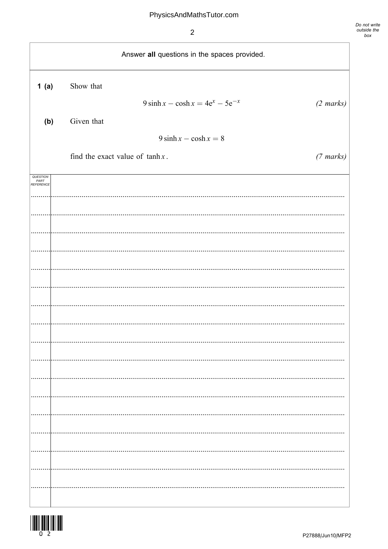$\overline{2}$ 



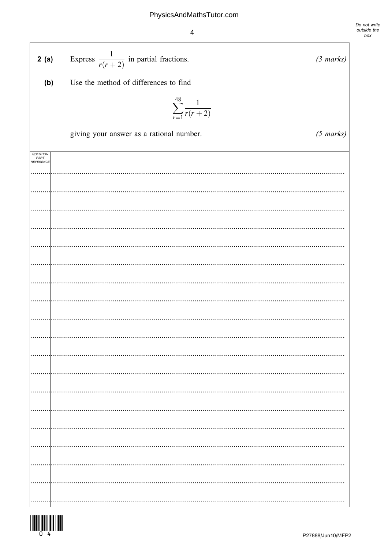$\overline{4}$ 

Do not write<br>outside the<br>box

| 2(a)                                 | Express $\frac{1}{r(r+2)}$ in partial fractions. | $(3 \text{ marks})$ |
|--------------------------------------|--------------------------------------------------|---------------------|
| (b)                                  | Use the method of differences to find            |                     |
|                                      | $\sum_{r=1}^{48} \frac{1}{r(r+2)}$               |                     |
|                                      | giving your answer as a rational number.         | $(5 \text{ marks})$ |
| QUESTION<br>PART<br><b>REFERENCE</b> |                                                  |                     |
|                                      |                                                  |                     |
|                                      |                                                  |                     |
|                                      |                                                  |                     |
|                                      |                                                  |                     |
|                                      |                                                  |                     |
|                                      |                                                  |                     |
|                                      |                                                  |                     |
|                                      |                                                  |                     |
|                                      |                                                  |                     |
|                                      |                                                  |                     |
|                                      |                                                  |                     |
|                                      |                                                  |                     |
|                                      |                                                  |                     |
|                                      |                                                  |                     |
|                                      |                                                  |                     |
|                                      |                                                  |                     |
|                                      |                                                  |                     |
|                                      |                                                  |                     |
|                                      |                                                  |                     |
|                                      |                                                  |                     |

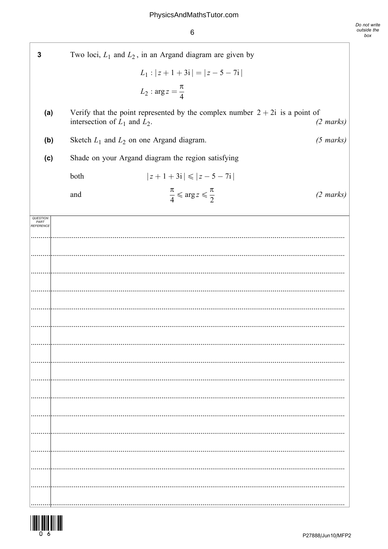$\,6$ 

| 3                 |                                   | Two loci, $L_1$ and $L_2$ , in an Argand diagram are given by                  |                     |
|-------------------|-----------------------------------|--------------------------------------------------------------------------------|---------------------|
|                   |                                   | $L_1:  z+1+3i  =  z-5-7i $                                                     |                     |
|                   |                                   | $L_2: \arg z = \frac{\pi}{4}$                                                  |                     |
| (a)               | intersection of $L_1$ and $L_2$ . | Verify that the point represented by the complex number $2 + 2i$ is a point of | $(2 \text{ marks})$ |
| (b)               |                                   | Sketch $L_1$ and $L_2$ on one Argand diagram.                                  | $(5 \text{ marks})$ |
| (c)               |                                   | Shade on your Argand diagram the region satisfying                             |                     |
|                   | both                              | $ z+1+3i  \leq  z-5-7i $                                                       |                     |
|                   | and                               | $rac{\pi}{4} \leqslant \arg z \leqslant \frac{\pi}{2}$                         | $(2 \text{ marks})$ |
| PART<br>REFERENCE |                                   |                                                                                |                     |
|                   |                                   |                                                                                |                     |
|                   |                                   |                                                                                |                     |
|                   |                                   |                                                                                |                     |
|                   |                                   |                                                                                |                     |
|                   |                                   |                                                                                |                     |
|                   |                                   |                                                                                |                     |
|                   |                                   |                                                                                |                     |
|                   |                                   |                                                                                |                     |
|                   |                                   |                                                                                |                     |
|                   |                                   |                                                                                |                     |
|                   |                                   |                                                                                |                     |
|                   |                                   |                                                                                |                     |
|                   |                                   |                                                                                |                     |
|                   |                                   |                                                                                |                     |
|                   |                                   |                                                                                |                     |
|                   |                                   |                                                                                |                     |

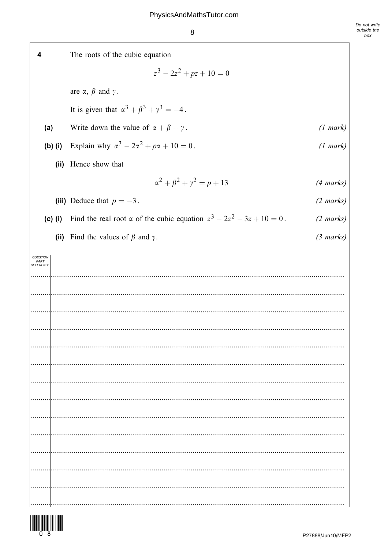8

The roots of the cubic equation  $\overline{\mathbf{4}}$  $z^3 - 2z^2 + pz + 10 = 0$ are  $\alpha$ ,  $\beta$  and  $\gamma$ . It is given that  $\alpha^3 + \beta^3 + \gamma^3 = -4$ . Write down the value of  $\alpha + \beta + \gamma$ .  $(1 mark)$  $(a)$ Explain why  $\alpha^3 - 2\alpha^2 + p\alpha + 10 = 0$ .  $(b)$  (i)  $(1 mark)$ (ii) Hence show that  $\alpha^2 + \beta^2 + \gamma^2 = p + 13$  $(4 \text{ marks})$ (iii) Deduce that  $p = -3$ .  $(2 \text{ marks})$ (c) (i) Find the real root  $\alpha$  of the cubic equation  $z^3 - 2z^2 - 3z + 10 = 0$ .  $(2 \text{ marks})$ (ii) Find the values of  $\beta$  and  $\gamma$ .  $(3 \text{ marks})$ QUESTION<br>PART<br>REFERENCE 

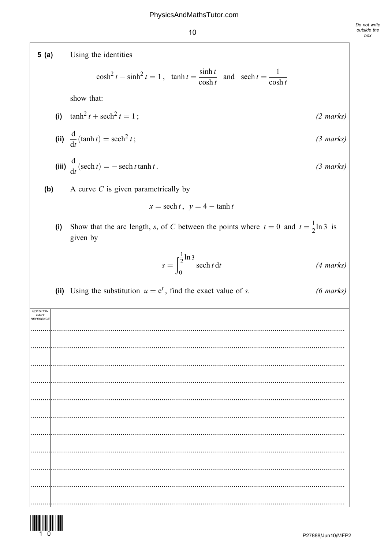Using the identities  $5(a)$  $\cosh^2 t - \sinh^2 t = 1$ ,  $\tanh t = \frac{\sinh t}{\cosh t}$  and  $\operatorname{sech} t = \frac{1}{\cosh t}$ show that: (i)  $\tanh^2 t + \operatorname{sech}^2 t = 1$ ;  $(2 \text{ marks})$ (ii)  $\frac{d}{dt}(\tanh t) = \operatorname{sech}^2 t$ ;  $(3 \text{ marks})$ (iii)  $\frac{d}{dt}(\operatorname{sech} t) = -\operatorname{sech} t \tanh t$ .  $(3 \text{ marks})$  $(b)$ A curve  $C$  is given parametrically by  $x = sech t$ ,  $v = 4 - tanh t$ Show that the arc length, s, of C between the points where  $t = 0$  and  $t = \frac{1}{2} \ln 3$  is  $(i)$ given by  $s = \int_{0}^{\frac{1}{2} \ln 3}$  sech t dt  $(4 \text{ marks})$ (ii) Using the substitution  $u = e^t$ , find the exact value of s.  $(6 \text{ marks})$ QUESTION<br>PART<br>REFERENCE 

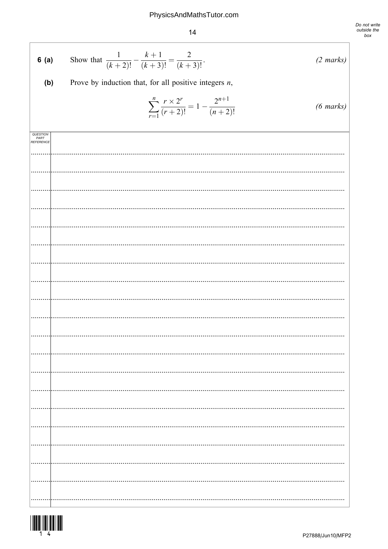# PhysicsAndMathsTutor.com

 $14$ 

| 6(a)                          | Show that $\frac{1}{(k+2)!} - \frac{k+1}{(k+3)!} = \frac{2}{(k+3)!}$ .<br>$(2 \text{ marks})$    |
|-------------------------------|--------------------------------------------------------------------------------------------------|
| (b)                           | Prove by induction that, for all positive integers $n$ ,                                         |
|                               | $\sum_{r=1}^{n} \frac{r \times 2^r}{(r+2)!} = 1 - \frac{2^{n+1}}{(n+2)!}$<br>$(6 \text{ marks})$ |
| QUESTION<br>PART<br>REFERENCE |                                                                                                  |
|                               |                                                                                                  |
|                               |                                                                                                  |
|                               |                                                                                                  |
|                               |                                                                                                  |
|                               |                                                                                                  |
|                               |                                                                                                  |
|                               |                                                                                                  |
|                               |                                                                                                  |
|                               |                                                                                                  |
|                               |                                                                                                  |
|                               |                                                                                                  |
|                               |                                                                                                  |
|                               |                                                                                                  |
|                               |                                                                                                  |
|                               |                                                                                                  |
|                               |                                                                                                  |
|                               |                                                                                                  |
|                               |                                                                                                  |
|                               |                                                                                                  |
|                               |                                                                                                  |
|                               |                                                                                                  |
|                               |                                                                                                  |
|                               |                                                                                                  |
|                               |                                                                                                  |